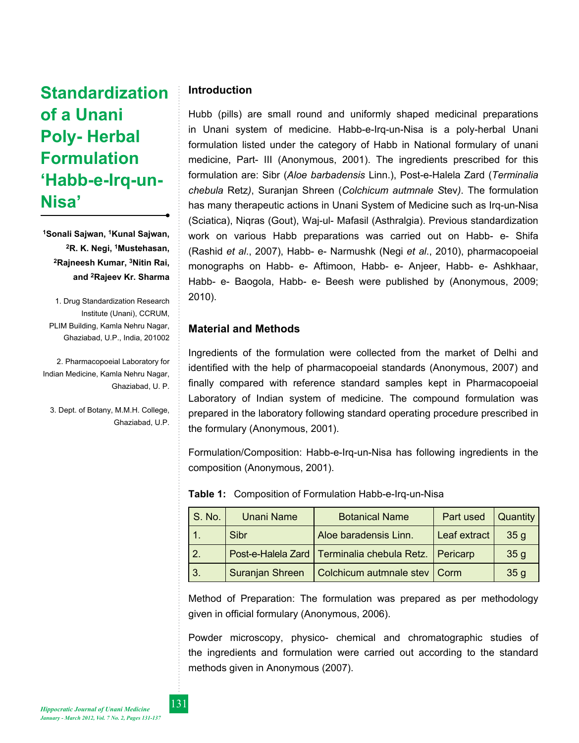# **Standardization of a Unani Poly- Herbal Formulation 'Habb-e-Irq-un-Nisa'**

**1Sonali Sajwan, 1Kunal Sajwan, 2R. K. Negi, 1Mustehasan, 2Rajneesh Kumar, 3Nitin Rai, and 2Rajeev Kr. Sharma**

1. Drug Standardization Research Institute (Unani), CCRUM, PLIM Building, Kamla Nehru Nagar, Ghaziabad, U.P., India, 201002

2. Pharmacopoeial Laboratory for Indian Medicine, Kamla Nehru Nagar, Ghaziabad, U. P.

3. Dept. of Botany, M.M.H. College, Ghaziabad, U.P.

# **Introduction**

Hubb (pills) are small round and uniformly shaped medicinal preparations in Unani system of medicine. Habb-e-Irq-un-Nisa is a poly-herbal Unani formulation listed under the category of Habb in National formulary of unani medicine, Part- III (Anonymous, 2001). The ingredients prescribed for this formulation are: Sibr (*Aloe barbadensis* Linn.), Post-e-Halela Zard (*Terminalia chebula* Retz*)*, Suranjan Shreen (*Colchicum autmnale S*tev*)*. The formulation has many therapeutic actions in Unani System of Medicine such as Irq-un-Nisa (Sciatica), Niqras (Gout), Waj-ul- Mafasil (Asthralgia). Previous standardization work on various Habb preparations was carried out on Habb- e- Shifa (Rashid *et al*., 2007), Habb- e- Narmushk (Negi *et al*., 2010), pharmacopoeial monographs on Habb- e- Aftimoon, Habb- e- Anjeer, Habb- e- Ashkhaar, Habb- e- Baogola, Habb- e- Beesh were published by (Anonymous, 2009; 2010).

# **Material and Methods**

Ingredients of the formulation were collected from the market of Delhi and identified with the help of pharmacopoeial standards (Anonymous, 2007) and finally compared with reference standard samples kept in Pharmacopoeial Laboratory of Indian system of medicine. The compound formulation was prepared in the laboratory following standard operating procedure prescribed in the formulary (Anonymous, 2001).

Formulation/Composition: Habb-e-Irq-un-Nisa has following ingredients in the composition (Anonymous, 2001).

| S. No.           | <b>Unani Name</b> | <b>Botanical Name</b>                                    | Part used    | Quantity        |
|------------------|-------------------|----------------------------------------------------------|--------------|-----------------|
|                  | Sibr              | Aloe baradensis Linn.                                    | Leaf extract | 35 <sub>q</sub> |
| $\overline{2}$ . |                   | Post-e-Halela Zard   Terminalia chebula Retz.   Pericarp |              | 35 <sub>g</sub> |
| -3.              | Suranjan Shreen   | Colchicum autmnale stev   Corm                           |              | 35 <sub>g</sub> |

**Table 1:** Composition of Formulation Habb-e-Irq-un-Nisa

Method of Preparation: The formulation was prepared as per methodology given in official formulary (Anonymous, 2006).

Powder microscopy, physico- chemical and chromatographic studies of the ingredients and formulation were carried out according to the standard methods given in Anonymous (2007).

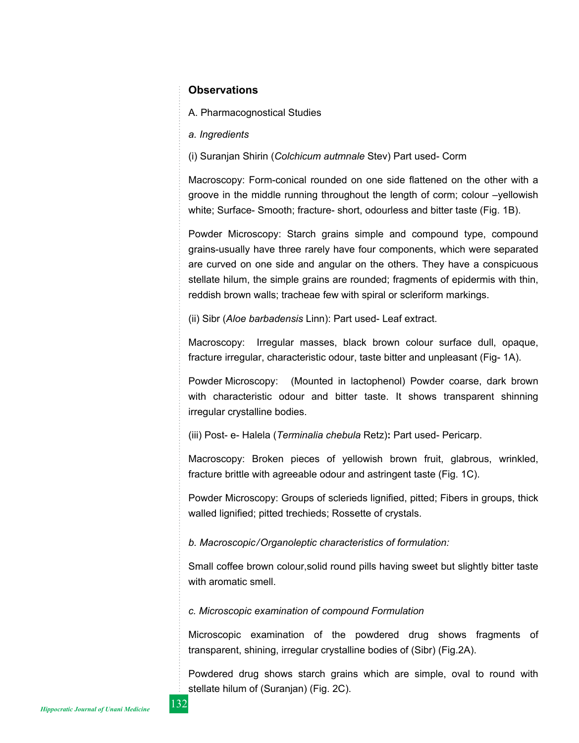# **Observations**

A. Pharmacognostical Studies

*a. Ingredients*

(i) Suranjan Shirin (*Colchicum autmnale* Stev) Part used- Corm

Macroscopy: Form-conical rounded on one side flattened on the other with a groove in the middle running throughout the length of corm; colour –yellowish white; Surface- Smooth; fracture- short, odourless and bitter taste (Fig. 1B).

Powder Microscopy: Starch grains simple and compound type, compound grains-usually have three rarely have four components, which were separated are curved on one side and angular on the others. They have a conspicuous stellate hilum, the simple grains are rounded; fragments of epidermis with thin, reddish brown walls; tracheae few with spiral or scleriform markings.

(ii) Sibr (*Aloe barbadensis* Linn): Part used- Leaf extract.

Macroscopy: Irregular masses, black brown colour surface dull, opaque, fracture irregular, characteristic odour, taste bitter and unpleasant (Fig- 1A).

Powder Microscopy: (Mounted in lactophenol) Powder coarse, dark brown with characteristic odour and bitter taste. It shows transparent shinning irregular crystalline bodies.

(iii) Post- e- Halela (*Terminalia chebula* Retz)**:** Part used- Pericarp.

Macroscopy: Broken pieces of yellowish brown fruit, glabrous, wrinkled, fracture brittle with agreeable odour and astringent taste (Fig. 1C).

Powder Microscopy: Groups of sclerieds lignified, pitted; Fibers in groups, thick walled lignified; pitted trechieds; Rossette of crystals.

*b. Macroscopic/Organoleptic characteristics of formulation:*

Small coffee brown colour,solid round pills having sweet but slightly bitter taste with aromatic smell.

*c. Microscopic examination of compound Formulation*

Microscopic examination of the powdered drug shows fragments of transparent, shining, irregular crystalline bodies of (Sibr) (Fig.2A).

Powdered drug shows starch grains which are simple, oval to round with stellate hilum of (Suranjan) (Fig. 2C).

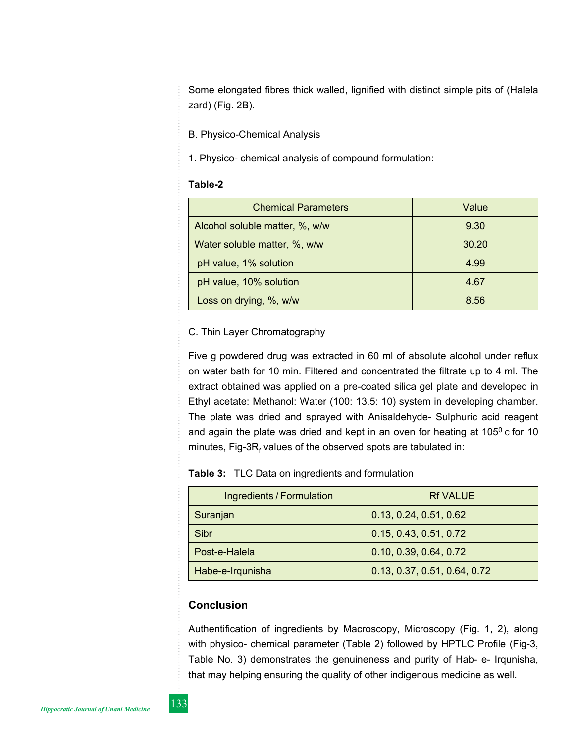Some elongated fibres thick walled, lignified with distinct simple pits of (Halela zard) (Fig. 2B).

B. Physico-Chemical Analysis

1. Physico- chemical analysis of compound formulation:

#### **Table-2**

| <b>Chemical Parameters</b>     | Value |
|--------------------------------|-------|
| Alcohol soluble matter, %, w/w | 9.30  |
| Water soluble matter, %, w/w   | 30.20 |
| pH value, 1% solution          | 4.99  |
| pH value, 10% solution         | 4.67  |
| Loss on drying, %, w/w         | 8.56  |

## C. Thin Layer Chromatography

Five g powdered drug was extracted in 60 ml of absolute alcohol under reflux on water bath for 10 min. Filtered and concentrated the filtrate up to 4 ml. The extract obtained was applied on a pre-coated silica gel plate and developed in Ethyl acetate: Methanol: Water (100: 13.5: 10) system in developing chamber. The plate was dried and sprayed with Anisaldehyde- Sulphuric acid reagent and again the plate was dried and kept in an oven for heating at  $105^\circ$  c for 10 minutes, Fig-3R<sub>f</sub> values of the observed spots are tabulated in:

| Ingredients / Formulation | <b>Rf VALUE</b>              |
|---------------------------|------------------------------|
| Suranjan                  | 0.13, 0.24, 0.51, 0.62       |
| Sibr                      | 0.15, 0.43, 0.51, 0.72       |
| Post-e-Halela             | 0.10, 0.39, 0.64, 0.72       |
| Habe-e-Irqunisha          | 0.13, 0.37, 0.51, 0.64, 0.72 |

## **Conclusion**

Authentification of ingredients by Macroscopy, Microscopy (Fig. 1, 2), along with physico- chemical parameter (Table 2) followed by HPTLC Profile (Fig-3, Table No. 3) demonstrates the genuineness and purity of Hab- e- Irqunisha, that may helping ensuring the quality of other indigenous medicine as well.

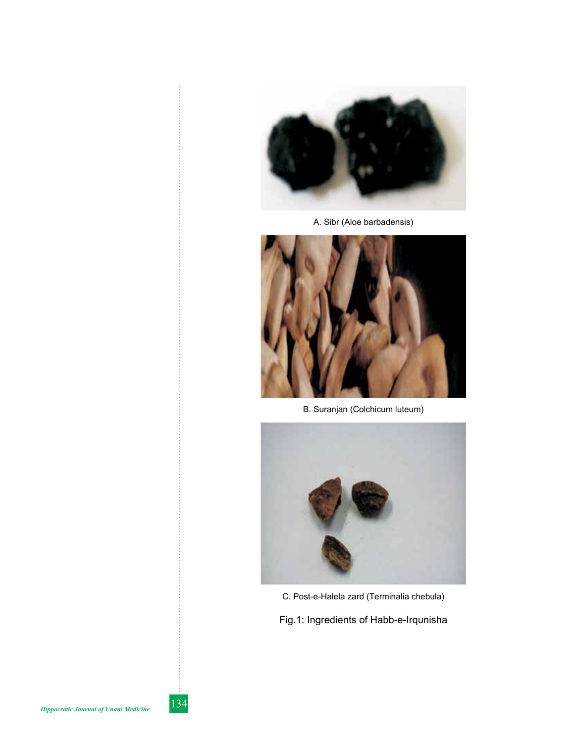

A. Sibr (Aloe barbadensis)



B. Suranjan (Colchicum luteum)



C. Post-e-Halela zard (Terminalia chebula)

Fig.1: Ingredients of Habb-e-Irqunisha

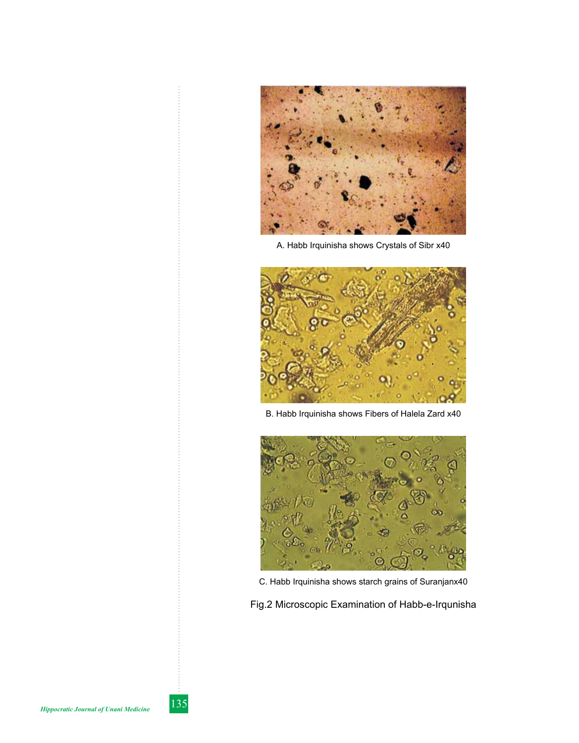

A. Habb Irquinisha shows Crystals of Sibr x40



B. Habb Irquinisha shows Fibers of Halela Zard x40



C. Habb Irquinisha shows starch grains of Suranjanx40

Fig.2 Microscopic Examination of Habb-e-Irqunisha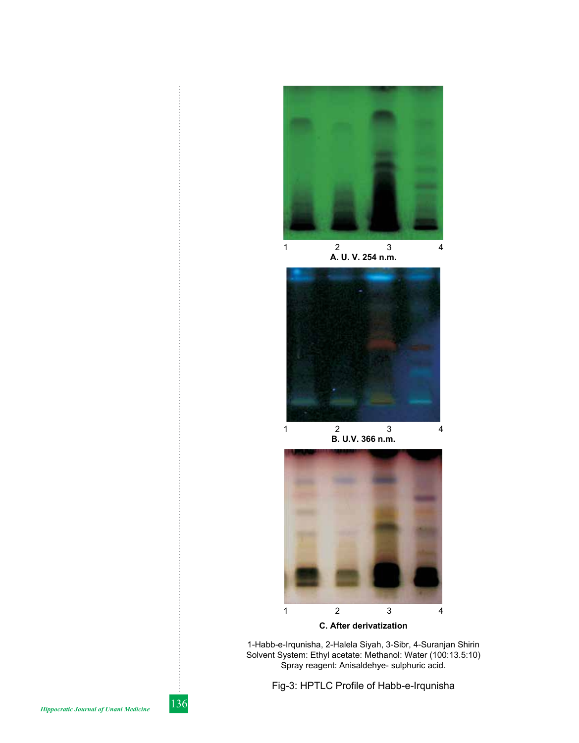

1 2 3 4 **A. U. V. 254 n.m.**



**B. U.V. 366 n.m.**



**C. After derivatization**

1-Habb-e-Irqunisha, 2-Halela Siyah, 3-Sibr, 4-Suranjan Shirin Solvent System: Ethyl acetate: Methanol: Water (100:13.5:10) Spray reagent: Anisaldehye- sulphuric acid.

Fig-3: HPTLC Profile of Habb-e-Irqunisha